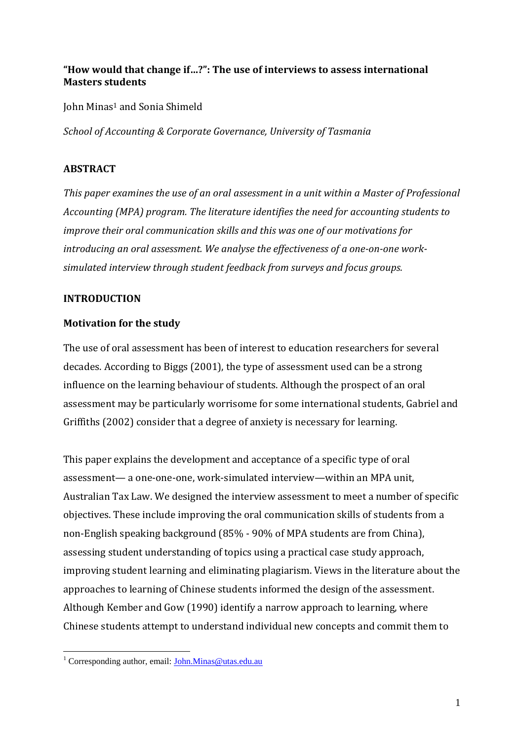# **"How would that change if…?": The use of interviews to assess international Masters students**

John Minas<sup>1</sup> and Sonia Shimeld

*School of Accounting & Corporate Governance, University of Tasmania*

# **ABSTRACT**

*This paper examines the use of an oral assessment in a unit within a Master of Professional Accounting (MPA) program. The literature identifies the need for accounting students to improve their oral communication skills and this was one of our motivations for introducing an oral assessment. We analyse the effectiveness of a one-on-one worksimulated interview through student feedback from surveys and focus groups.*

# **INTRODUCTION**

# **Motivation for the study**

The use of oral assessment has been of interest to education researchers for several decades. According to Biggs (2001), the type of assessment used can be a strong influence on the learning behaviour of students. Although the prospect of an oral assessment may be particularly worrisome for some international students, Gabriel and Griffiths (2002) consider that a degree of anxiety is necessary for learning.

This paper explains the development and acceptance of a specific type of oral assessment— a one-one-one, work-simulated interview—within an MPA unit, Australian Tax Law. We designed the interview assessment to meet a number of specific objectives. These include improving the oral communication skills of students from a non-English speaking background (85% - 90% of MPA students are from China), assessing student understanding of topics using a practical case study approach, improving student learning and eliminating plagiarism. Views in the literature about the approaches to learning of Chinese students informed the design of the assessment. Although Kember and Gow (1990) identify a narrow approach to learning, where Chinese students attempt to understand individual new concepts and commit them to

<sup>1</sup> <sup>1</sup> Corresponding author, email[: John.Minas@utas.edu.au](mailto:John.Minas@utas.edu.au)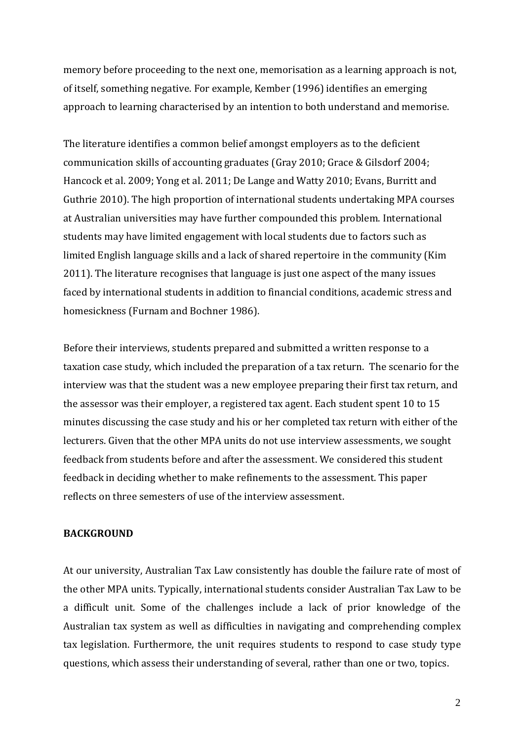memory before proceeding to the next one, memorisation as a learning approach is not, of itself, something negative. For example, Kember (1996) identifies an emerging approach to learning characterised by an intention to both understand and memorise.

The literature identifies a common belief amongst employers as to the deficient communication skills of accounting graduates (Gray 2010; Grace & Gilsdorf 2004; Hancock et al. 2009; Yong et al. 2011; De Lange and Watty 2010; Evans, Burritt and Guthrie 2010). The high proportion of international students undertaking MPA courses at Australian universities may have further compounded this problem. International students may have limited engagement with local students due to factors such as limited English language skills and a lack of shared repertoire in the community (Kim 2011). The literature recognises that language is just one aspect of the many issues faced by international students in addition to financial conditions, academic stress and homesickness (Furnam and Bochner 1986).

Before their interviews, students prepared and submitted a written response to a taxation case study, which included the preparation of a tax return. The scenario for the interview was that the student was a new employee preparing their first tax return, and the assessor was their employer, a registered tax agent. Each student spent 10 to 15 minutes discussing the case study and his or her completed tax return with either of the lecturers. Given that the other MPA units do not use interview assessments, we sought feedback from students before and after the assessment. We considered this student feedback in deciding whether to make refinements to the assessment. This paper reflects on three semesters of use of the interview assessment.

### **BACKGROUND**

At our university, Australian Tax Law consistently has double the failure rate of most of the other MPA units. Typically, international students consider Australian Tax Law to be a difficult unit. Some of the challenges include a lack of prior knowledge of the Australian tax system as well as difficulties in navigating and comprehending complex tax legislation. Furthermore, the unit requires students to respond to case study type questions, which assess their understanding of several, rather than one or two, topics.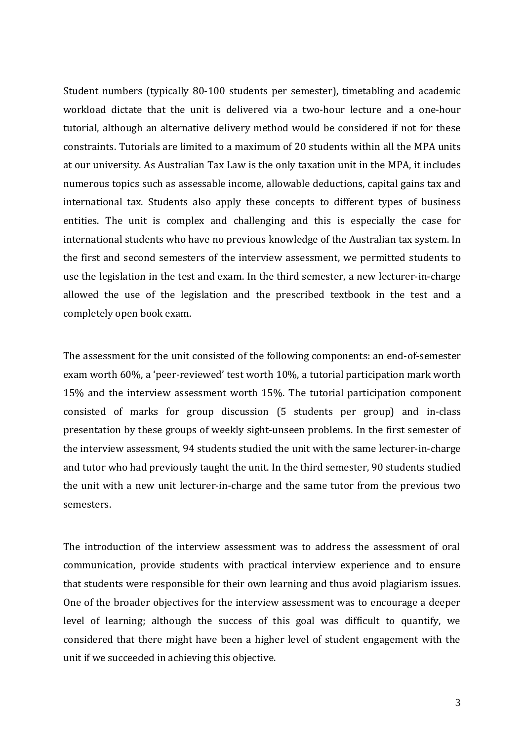Student numbers (typically 80-100 students per semester), timetabling and academic workload dictate that the unit is delivered via a two-hour lecture and a one-hour tutorial, although an alternative delivery method would be considered if not for these constraints. Tutorials are limited to a maximum of 20 students within all the MPA units at our university. As Australian Tax Law is the only taxation unit in the MPA, it includes numerous topics such as assessable income, allowable deductions, capital gains tax and international tax. Students also apply these concepts to different types of business entities. The unit is complex and challenging and this is especially the case for international students who have no previous knowledge of the Australian tax system. In the first and second semesters of the interview assessment, we permitted students to use the legislation in the test and exam. In the third semester, a new lecturer-in-charge allowed the use of the legislation and the prescribed textbook in the test and a completely open book exam.

The assessment for the unit consisted of the following components: an end-of-semester exam worth 60%, a 'peer-reviewed' test worth 10%, a tutorial participation mark worth 15% and the interview assessment worth 15%. The tutorial participation component consisted of marks for group discussion (5 students per group) and in-class presentation by these groups of weekly sight-unseen problems. In the first semester of the interview assessment, 94 students studied the unit with the same lecturer-in-charge and tutor who had previously taught the unit. In the third semester, 90 students studied the unit with a new unit lecturer-in-charge and the same tutor from the previous two semesters.

The introduction of the interview assessment was to address the assessment of oral communication, provide students with practical interview experience and to ensure that students were responsible for their own learning and thus avoid plagiarism issues. One of the broader objectives for the interview assessment was to encourage a deeper level of learning; although the success of this goal was difficult to quantify, we considered that there might have been a higher level of student engagement with the unit if we succeeded in achieving this objective.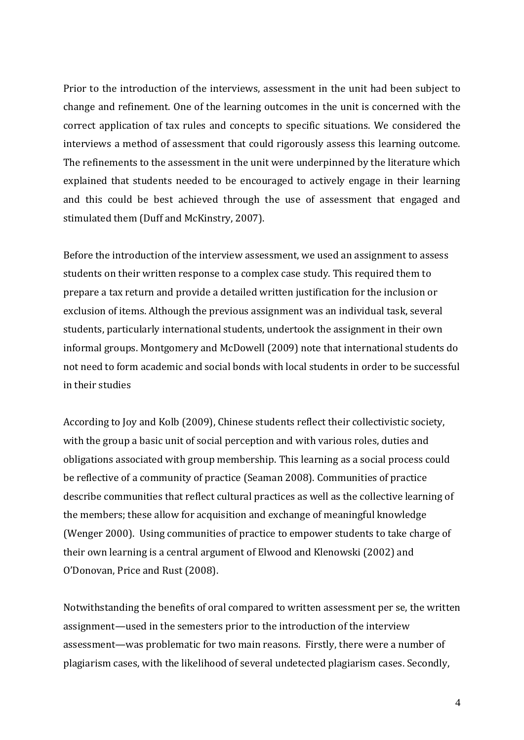Prior to the introduction of the interviews, assessment in the unit had been subject to change and refinement. One of the learning outcomes in the unit is concerned with the correct application of tax rules and concepts to specific situations. We considered the interviews a method of assessment that could rigorously assess this learning outcome. The refinements to the assessment in the unit were underpinned by the literature which explained that students needed to be encouraged to actively engage in their learning and this could be best achieved through the use of assessment that engaged and stimulated them (Duff and McKinstry, 2007).

Before the introduction of the interview assessment, we used an assignment to assess students on their written response to a complex case study. This required them to prepare a tax return and provide a detailed written justification for the inclusion or exclusion of items. Although the previous assignment was an individual task, several students, particularly international students, undertook the assignment in their own informal groups. Montgomery and McDowell (2009) note that international students do not need to form academic and social bonds with local students in order to be successful in their studies

According to Joy and Kolb (2009), Chinese students reflect their collectivistic society, with the group a basic unit of social perception and with various roles, duties and obligations associated with group membership. This learning as a social process could be reflective of a community of practice (Seaman 2008). Communities of practice describe communities that reflect cultural practices as well as the collective learning of the members; these allow for acquisition and exchange of meaningful knowledge (Wenger 2000). Using communities of practice to empower students to take charge of their own learning is a central argument of Elwood and Klenowski (2002) and O'Donovan, Price and Rust (2008).

Notwithstanding the benefits of oral compared to written assessment per se, the written assignment—used in the semesters prior to the introduction of the interview assessment—was problematic for two main reasons. Firstly, there were a number of plagiarism cases, with the likelihood of several undetected plagiarism cases. Secondly,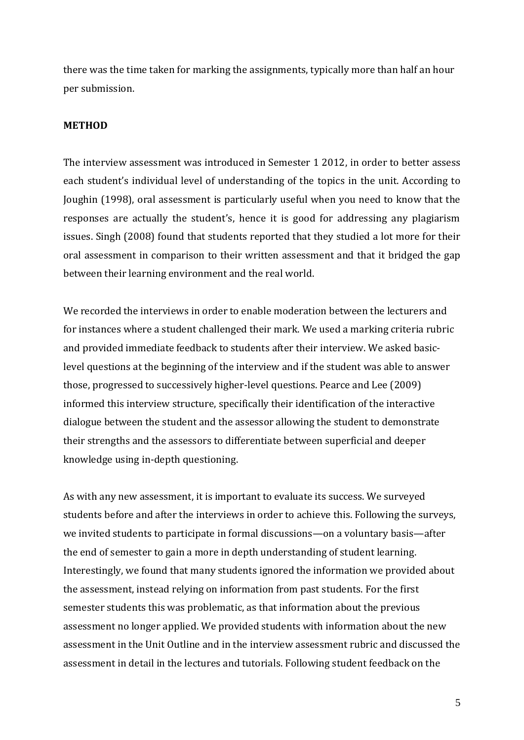there was the time taken for marking the assignments, typically more than half an hour per submission.

### **METHOD**

The interview assessment was introduced in Semester 1 2012, in order to better assess each student's individual level of understanding of the topics in the unit. According to Joughin (1998), oral assessment is particularly useful when you need to know that the responses are actually the student's, hence it is good for addressing any plagiarism issues. Singh (2008) found that students reported that they studied a lot more for their oral assessment in comparison to their written assessment and that it bridged the gap between their learning environment and the real world.

We recorded the interviews in order to enable moderation between the lecturers and for instances where a student challenged their mark. We used a marking criteria rubric and provided immediate feedback to students after their interview. We asked basiclevel questions at the beginning of the interview and if the student was able to answer those, progressed to successively higher-level questions. Pearce and Lee (2009) informed this interview structure, specifically their identification of the interactive dialogue between the student and the assessor allowing the student to demonstrate their strengths and the assessors to differentiate between superficial and deeper knowledge using in-depth questioning.

As with any new assessment, it is important to evaluate its success. We surveyed students before and after the interviews in order to achieve this. Following the surveys, we invited students to participate in formal discussions—on a voluntary basis—after the end of semester to gain a more in depth understanding of student learning. Interestingly, we found that many students ignored the information we provided about the assessment, instead relying on information from past students. For the first semester students this was problematic, as that information about the previous assessment no longer applied. We provided students with information about the new assessment in the Unit Outline and in the interview assessment rubric and discussed the assessment in detail in the lectures and tutorials. Following student feedback on the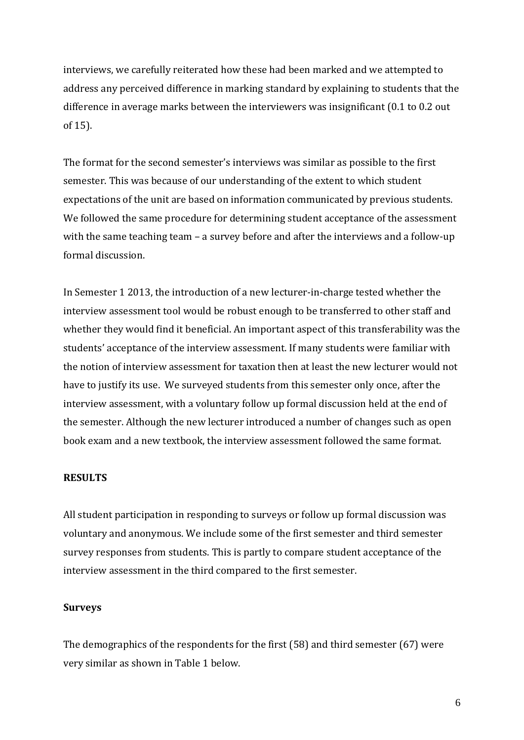interviews, we carefully reiterated how these had been marked and we attempted to address any perceived difference in marking standard by explaining to students that the difference in average marks between the interviewers was insignificant (0.1 to 0.2 out of 15).

The format for the second semester's interviews was similar as possible to the first semester. This was because of our understanding of the extent to which student expectations of the unit are based on information communicated by previous students. We followed the same procedure for determining student acceptance of the assessment with the same teaching team – a survey before and after the interviews and a follow-up formal discussion.

In Semester 1 2013, the introduction of a new lecturer-in-charge tested whether the interview assessment tool would be robust enough to be transferred to other staff and whether they would find it beneficial. An important aspect of this transferability was the students' acceptance of the interview assessment. If many students were familiar with the notion of interview assessment for taxation then at least the new lecturer would not have to justify its use. We surveyed students from this semester only once, after the interview assessment, with a voluntary follow up formal discussion held at the end of the semester. Although the new lecturer introduced a number of changes such as open book exam and a new textbook, the interview assessment followed the same format.

### **RESULTS**

All student participation in responding to surveys or follow up formal discussion was voluntary and anonymous. We include some of the first semester and third semester survey responses from students. This is partly to compare student acceptance of the interview assessment in the third compared to the first semester.

#### **Surveys**

The demographics of the respondents for the first (58) and third semester (67) were very similar as shown in Table 1 below.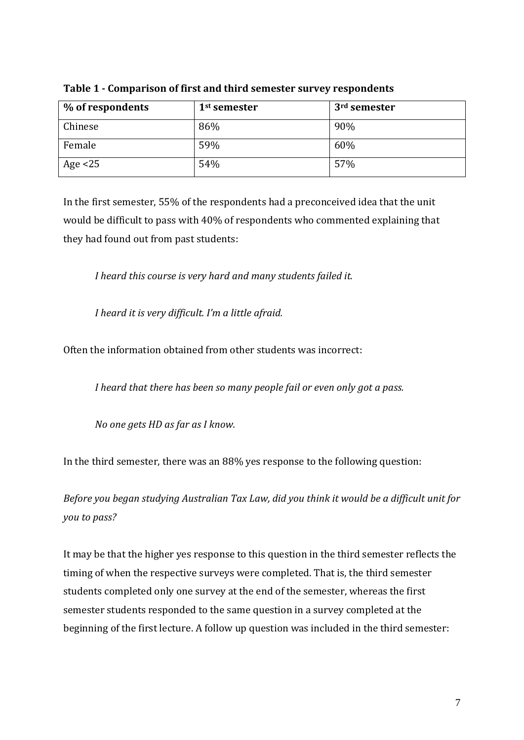| % of respondents | 1 <sup>st</sup> semester | 3 <sup>rd</sup> semester |
|------------------|--------------------------|--------------------------|
| Chinese          | 86%                      | 90%                      |
| Female           | 59%                      | 60%                      |
| Age $<$ 25       | 54%                      | 57%                      |

**Table 1 - Comparison of first and third semester survey respondents**

In the first semester, 55% of the respondents had a preconceived idea that the unit would be difficult to pass with 40% of respondents who commented explaining that they had found out from past students:

*I heard this course is very hard and many students failed it.* 

*I heard it is very difficult. I'm a little afraid.*

Often the information obtained from other students was incorrect:

*I heard that there has been so many people fail or even only got a pass.*

*No one gets HD as far as I know.*

In the third semester, there was an 88% yes response to the following question:

*Before you began studying Australian Tax Law, did you think it would be a difficult unit for you to pass?*

It may be that the higher yes response to this question in the third semester reflects the timing of when the respective surveys were completed. That is, the third semester students completed only one survey at the end of the semester, whereas the first semester students responded to the same question in a survey completed at the beginning of the first lecture. A follow up question was included in the third semester: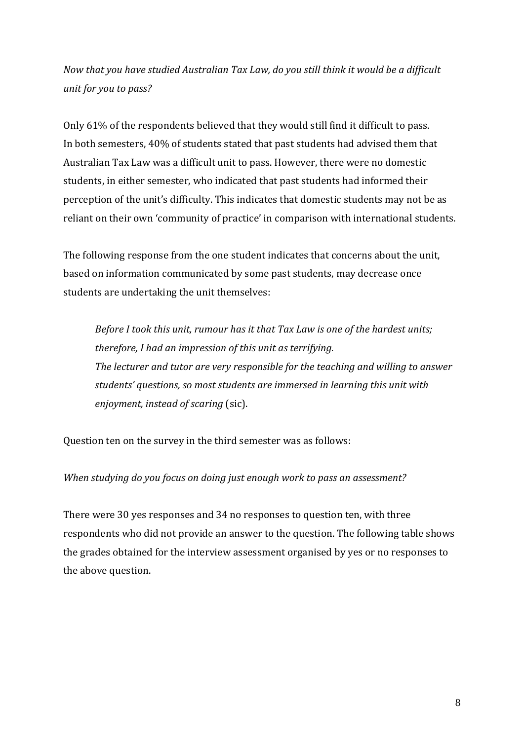*Now that you have studied Australian Tax Law, do you still think it would be a difficult unit for you to pass?* 

Only 61% of the respondents believed that they would still find it difficult to pass. In both semesters, 40% of students stated that past students had advised them that Australian Tax Law was a difficult unit to pass. However, there were no domestic students, in either semester, who indicated that past students had informed their perception of the unit's difficulty. This indicates that domestic students may not be as reliant on their own 'community of practice' in comparison with international students.

The following response from the one student indicates that concerns about the unit, based on information communicated by some past students, may decrease once students are undertaking the unit themselves:

*Before I took this unit, rumour has it that Tax Law is one of the hardest units; therefore, I had an impression of this unit as terrifying. The lecturer and tutor are very responsible for the teaching and willing to answer students' questions, so most students are immersed in learning this unit with enjoyment, instead of scaring* (sic).

Question ten on the survey in the third semester was as follows:

*When studying do you focus on doing just enough work to pass an assessment?*

There were 30 yes responses and 34 no responses to question ten, with three respondents who did not provide an answer to the question. The following table shows the grades obtained for the interview assessment organised by yes or no responses to the above question.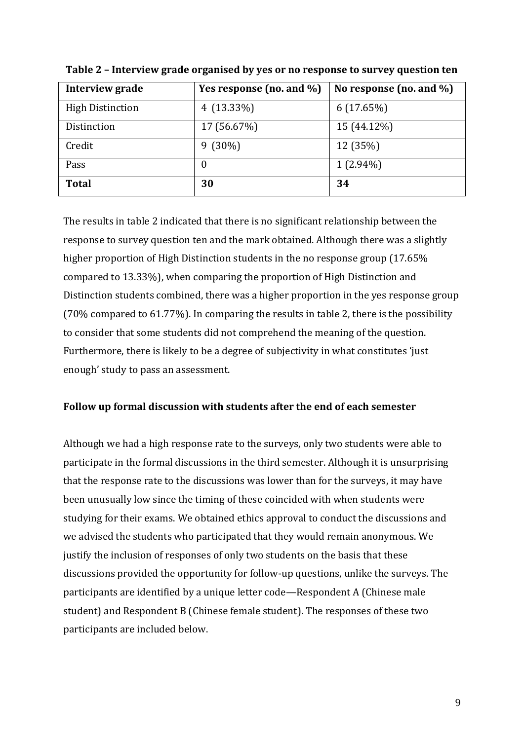| Interview grade         | Yes response (no. and %) | No response (no. and $\%$ ) |
|-------------------------|--------------------------|-----------------------------|
| <b>High Distinction</b> | 4 $(13.33\%)$            | 6(17.65%)                   |
| Distinction             | 17 (56.67%)              | 15 (44.12%)                 |
| Credit                  | $9(30\%)$                | 12 (35%)                    |
| Pass                    | 0                        | $1(2.94\%)$                 |
| <b>Total</b>            | 30                       | 34                          |

**Table 2 – Interview grade organised by yes or no response to survey question ten**

The results in table 2 indicated that there is no significant relationship between the response to survey question ten and the mark obtained. Although there was a slightly higher proportion of High Distinction students in the no response group (17.65% compared to 13.33%), when comparing the proportion of High Distinction and Distinction students combined, there was a higher proportion in the yes response group (70% compared to 61.77%). In comparing the results in table 2, there is the possibility to consider that some students did not comprehend the meaning of the question. Furthermore, there is likely to be a degree of subjectivity in what constitutes 'just enough' study to pass an assessment.

### **Follow up formal discussion with students after the end of each semester**

Although we had a high response rate to the surveys, only two students were able to participate in the formal discussions in the third semester. Although it is unsurprising that the response rate to the discussions was lower than for the surveys, it may have been unusually low since the timing of these coincided with when students were studying for their exams. We obtained ethics approval to conduct the discussions and we advised the students who participated that they would remain anonymous. We justify the inclusion of responses of only two students on the basis that these discussions provided the opportunity for follow-up questions, unlike the surveys. The participants are identified by a unique letter code—Respondent A (Chinese male student) and Respondent B (Chinese female student). The responses of these two participants are included below.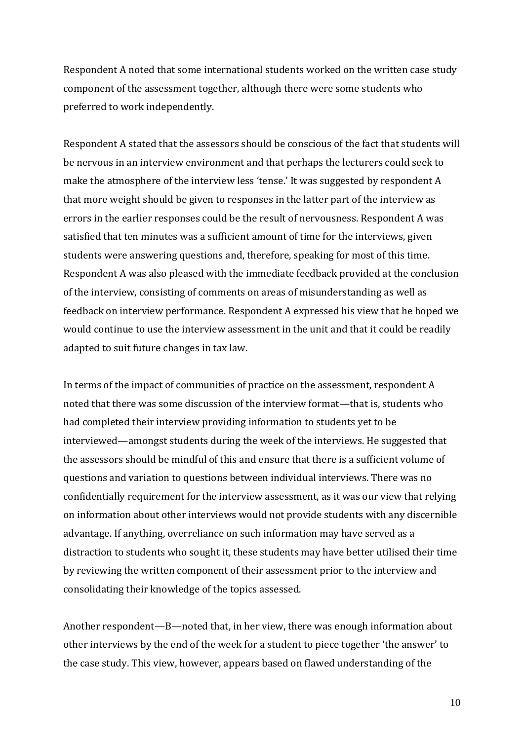Respondent A noted that some international students worked on the written case study component of the assessment together, although there were some students who preferred to work independently.

Respondent A stated that the assessors should be conscious of the fact that students will be nervous in an interview environment and that perhaps the lecturers could seek to make the atmosphere of the interview less 'tense.' It was suggested by respondent A that more weight should be given to responses in the latter part of the interview as errors in the earlier responses could be the result of nervousness. Respondent A was satisfied that ten minutes was a sufficient amount of time for the interviews, given students were answering questions and, therefore, speaking for most of this time. Respondent A was also pleased with the immediate feedback provided at the conclusion of the interview, consisting of comments on areas of misunderstanding as well as feedback on interview performance. Respondent A expressed his view that he hoped we would continue to use the interview assessment in the unit and that it could be readily adapted to suit future changes in tax law.

In terms of the impact of communities of practice on the assessment, respondent A noted that there was some discussion of the interview format—that is, students who had completed their interview providing information to students yet to be interviewed—amongst students during the week of the interviews. He suggested that the assessors should be mindful of this and ensure that there is a sufficient volume of questions and variation to questions between individual interviews. There was no confidentially requirement for the interview assessment, as it was our view that relying on information about other interviews would not provide students with any discernible advantage. If anything, overreliance on such information may have served as a distraction to students who sought it, these students may have better utilised their time by reviewing the written component of their assessment prior to the interview and consolidating their knowledge of the topics assessed.

Another respondent—B—noted that, in her view, there was enough information about other interviews by the end of the week for a student to piece together 'the answer' to the case study. This view, however, appears based on flawed understanding of the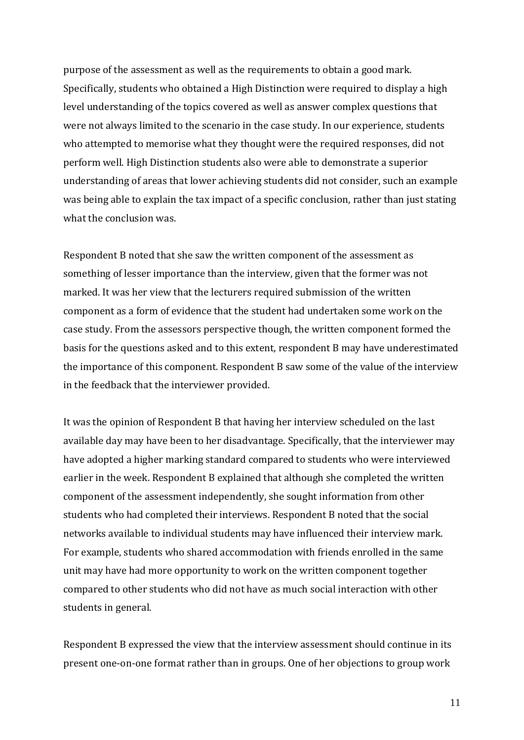purpose of the assessment as well as the requirements to obtain a good mark. Specifically, students who obtained a High Distinction were required to display a high level understanding of the topics covered as well as answer complex questions that were not always limited to the scenario in the case study. In our experience, students who attempted to memorise what they thought were the required responses, did not perform well. High Distinction students also were able to demonstrate a superior understanding of areas that lower achieving students did not consider, such an example was being able to explain the tax impact of a specific conclusion, rather than just stating what the conclusion was.

Respondent B noted that she saw the written component of the assessment as something of lesser importance than the interview, given that the former was not marked. It was her view that the lecturers required submission of the written component as a form of evidence that the student had undertaken some work on the case study. From the assessors perspective though, the written component formed the basis for the questions asked and to this extent, respondent B may have underestimated the importance of this component. Respondent B saw some of the value of the interview in the feedback that the interviewer provided.

It was the opinion of Respondent B that having her interview scheduled on the last available day may have been to her disadvantage. Specifically, that the interviewer may have adopted a higher marking standard compared to students who were interviewed earlier in the week. Respondent B explained that although she completed the written component of the assessment independently, she sought information from other students who had completed their interviews. Respondent B noted that the social networks available to individual students may have influenced their interview mark. For example, students who shared accommodation with friends enrolled in the same unit may have had more opportunity to work on the written component together compared to other students who did not have as much social interaction with other students in general.

Respondent B expressed the view that the interview assessment should continue in its present one-on-one format rather than in groups. One of her objections to group work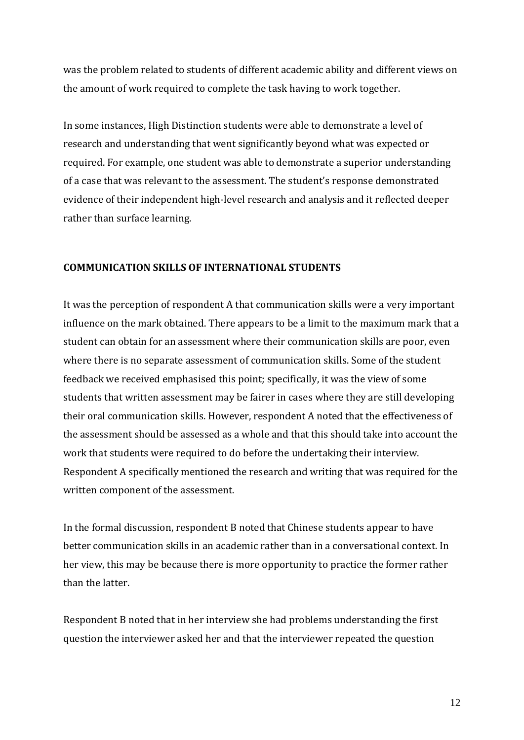was the problem related to students of different academic ability and different views on the amount of work required to complete the task having to work together.

In some instances, High Distinction students were able to demonstrate a level of research and understanding that went significantly beyond what was expected or required. For example, one student was able to demonstrate a superior understanding of a case that was relevant to the assessment. The student's response demonstrated evidence of their independent high-level research and analysis and it reflected deeper rather than surface learning.

# **COMMUNICATION SKILLS OF INTERNATIONAL STUDENTS**

It was the perception of respondent A that communication skills were a very important influence on the mark obtained. There appears to be a limit to the maximum mark that a student can obtain for an assessment where their communication skills are poor, even where there is no separate assessment of communication skills. Some of the student feedback we received emphasised this point; specifically, it was the view of some students that written assessment may be fairer in cases where they are still developing their oral communication skills. However, respondent A noted that the effectiveness of the assessment should be assessed as a whole and that this should take into account the work that students were required to do before the undertaking their interview. Respondent A specifically mentioned the research and writing that was required for the written component of the assessment.

In the formal discussion, respondent B noted that Chinese students appear to have better communication skills in an academic rather than in a conversational context. In her view, this may be because there is more opportunity to practice the former rather than the latter.

Respondent B noted that in her interview she had problems understanding the first question the interviewer asked her and that the interviewer repeated the question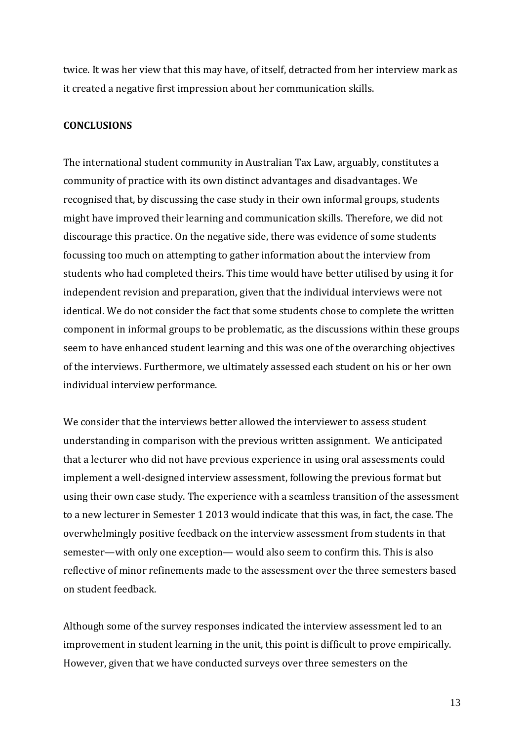twice. It was her view that this may have, of itself, detracted from her interview mark as it created a negative first impression about her communication skills.

### **CONCLUSIONS**

The international student community in Australian Tax Law, arguably, constitutes a community of practice with its own distinct advantages and disadvantages. We recognised that, by discussing the case study in their own informal groups, students might have improved their learning and communication skills. Therefore, we did not discourage this practice. On the negative side, there was evidence of some students focussing too much on attempting to gather information about the interview from students who had completed theirs. This time would have better utilised by using it for independent revision and preparation, given that the individual interviews were not identical. We do not consider the fact that some students chose to complete the written component in informal groups to be problematic, as the discussions within these groups seem to have enhanced student learning and this was one of the overarching objectives of the interviews. Furthermore, we ultimately assessed each student on his or her own individual interview performance.

We consider that the interviews better allowed the interviewer to assess student understanding in comparison with the previous written assignment. We anticipated that a lecturer who did not have previous experience in using oral assessments could implement a well-designed interview assessment, following the previous format but using their own case study. The experience with a seamless transition of the assessment to a new lecturer in Semester 1 2013 would indicate that this was, in fact, the case. The overwhelmingly positive feedback on the interview assessment from students in that semester—with only one exception— would also seem to confirm this. This is also reflective of minor refinements made to the assessment over the three semesters based on student feedback.

Although some of the survey responses indicated the interview assessment led to an improvement in student learning in the unit, this point is difficult to prove empirically. However, given that we have conducted surveys over three semesters on the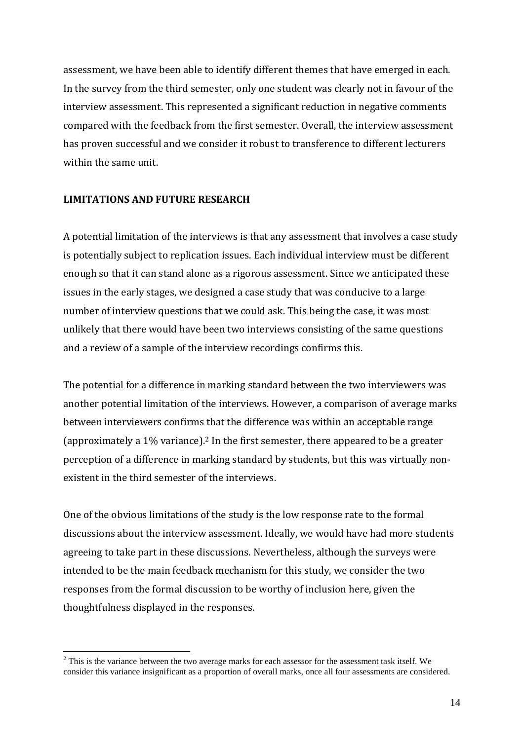assessment, we have been able to identify different themes that have emerged in each. In the survey from the third semester, only one student was clearly not in favour of the interview assessment. This represented a significant reduction in negative comments compared with the feedback from the first semester. Overall, the interview assessment has proven successful and we consider it robust to transference to different lecturers within the same unit.

# **LIMITATIONS AND FUTURE RESEARCH**

1

A potential limitation of the interviews is that any assessment that involves a case study is potentially subject to replication issues. Each individual interview must be different enough so that it can stand alone as a rigorous assessment. Since we anticipated these issues in the early stages, we designed a case study that was conducive to a large number of interview questions that we could ask. This being the case, it was most unlikely that there would have been two interviews consisting of the same questions and a review of a sample of the interview recordings confirms this.

The potential for a difference in marking standard between the two interviewers was another potential limitation of the interviews. However, a comparison of average marks between interviewers confirms that the difference was within an acceptable range (approximately a 1% variance). <sup>2</sup> In the first semester, there appeared to be a greater perception of a difference in marking standard by students, but this was virtually nonexistent in the third semester of the interviews.

One of the obvious limitations of the study is the low response rate to the formal discussions about the interview assessment. Ideally, we would have had more students agreeing to take part in these discussions. Nevertheless, although the surveys were intended to be the main feedback mechanism for this study, we consider the two responses from the formal discussion to be worthy of inclusion here, given the thoughtfulness displayed in the responses.

<sup>&</sup>lt;sup>2</sup> This is the variance between the two average marks for each assessor for the assessment task itself. We consider this variance insignificant as a proportion of overall marks, once all four assessments are considered.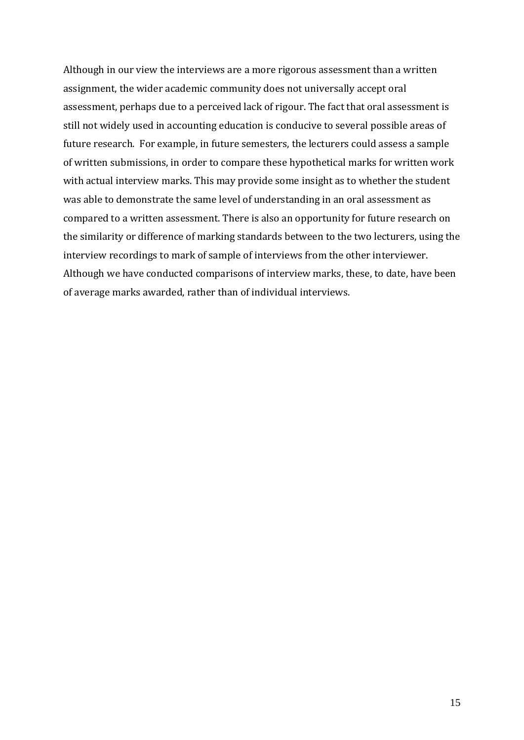Although in our view the interviews are a more rigorous assessment than a written assignment, the wider academic community does not universally accept oral assessment, perhaps due to a perceived lack of rigour. The fact that oral assessment is still not widely used in accounting education is conducive to several possible areas of future research. For example, in future semesters, the lecturers could assess a sample of written submissions, in order to compare these hypothetical marks for written work with actual interview marks. This may provide some insight as to whether the student was able to demonstrate the same level of understanding in an oral assessment as compared to a written assessment. There is also an opportunity for future research on the similarity or difference of marking standards between to the two lecturers, using the interview recordings to mark of sample of interviews from the other interviewer. Although we have conducted comparisons of interview marks, these, to date, have been of average marks awarded, rather than of individual interviews.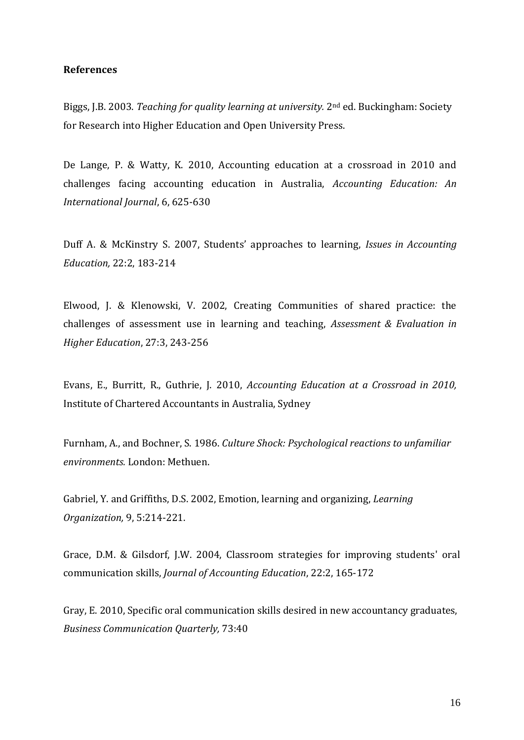### **References**

Biggs, J.B. 2003. *Teaching for quality learning at university.* 2nd ed. Buckingham: Society for Research into Higher Education and Open University Press.

De Lange, P. & Watty, K. 2010, Accounting education at a crossroad in 2010 and challenges facing accounting education in Australia, *Accounting Education: An International Journal*, 6, 625-630

Duff A. & McKinstry S. 2007, Students' approaches to learning, *Issues in Accounting Education,* 22:2, 183-214

Elwood, J. & Klenowski, V. 2002, Creating Communities of shared practice: the challenges of assessment use in learning and teaching, *Assessment & Evaluation in Higher Education*, 27:3, 243-256

Evans, E., Burritt, R., Guthrie, J. 2010, *Accounting Education at a Crossroad in 2010,* Institute of Chartered Accountants in Australia, Sydney

Furnham, A., and Bochner, S. 1986. *Culture Shock: Psychological reactions to unfamiliar environments.* London: Methuen.

Gabriel, Y. and Griffiths, D.S. 2002, Emotion, learning and organizing, *Learning Organization,* 9, 5:214-221.

Grace, D.M. & Gilsdorf, J.W. 2004, Classroom strategies for improving students' oral communication skills, *Journal of Accounting Education*, 22:2, 165-172

Gray, E. 2010, Specific oral communication skills desired in new accountancy graduates, *Business Communication Quarterly,* 73:40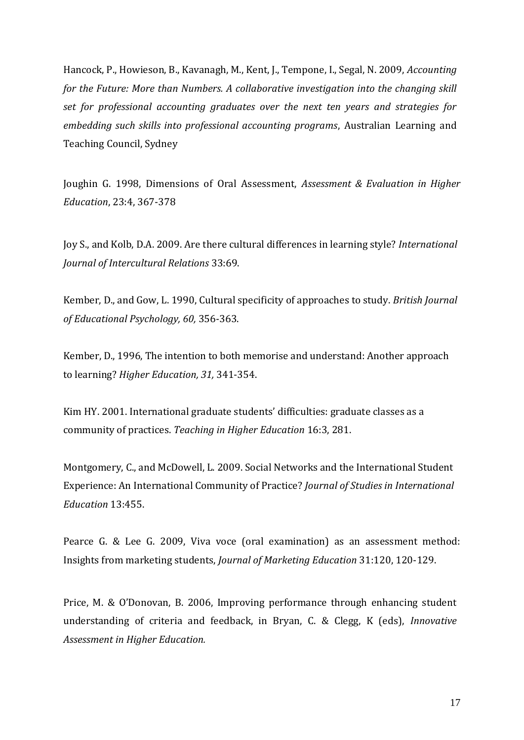Hancock, P., Howieson, B., Kavanagh, M., Kent, J., Tempone, I., Segal, N. 2009, *Accounting for the Future: More than Numbers. A collaborative investigation into the changing skill set for professional accounting graduates over the next ten years and strategies for embedding such skills into professional accounting programs*, Australian Learning and Teaching Council, Sydney

Joughin G. 1998, Dimensions of Oral Assessment, *Assessment & Evaluation in Higher Education*, 23:4, 367-378

Joy S., and Kolb, D.A. 2009. Are there cultural differences in learning style? *International Journal of Intercultural Relations* 33:69.

Kember, D., and Gow, L. 1990, Cultural specificity of approaches to study. *British Journal of Educational Psychology, 60,* 356-363.

Kember, D., 1996, The intention to both memorise and understand: Another approach to learning? *Higher Education, 31,* 341-354.

Kim HY. 2001. International graduate students' difficulties: graduate classes as a community of practices. *Teaching in Higher Education* 16:3, 281.

Montgomery, C., and McDowell, L. 2009. Social Networks and the International Student Experience: An International Community of Practice? *Journal of Studies in International Education* 13:455.

Pearce G. & Lee G. 2009, Viva voce (oral examination) as an assessment method: Insights from marketing students, *Journal of Marketing Education* 31:120, 120-129.

Price, M. & O'Donovan, B. 2006, Improving performance through enhancing student understanding of criteria and feedback, in Bryan, C. & Clegg, K (eds), *Innovative Assessment in Higher Education.*